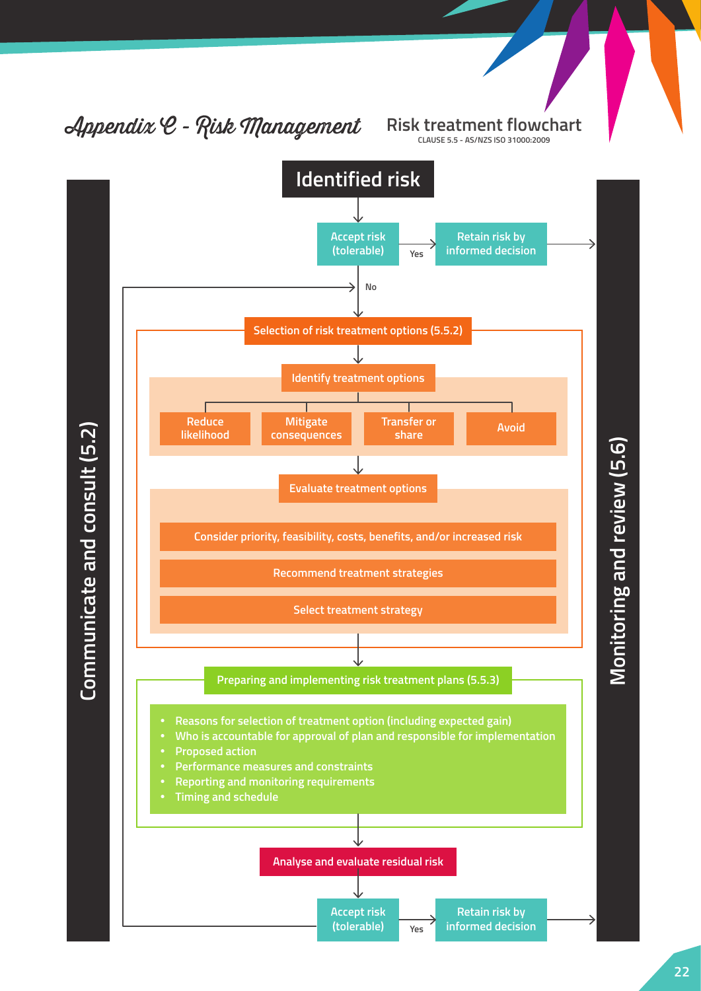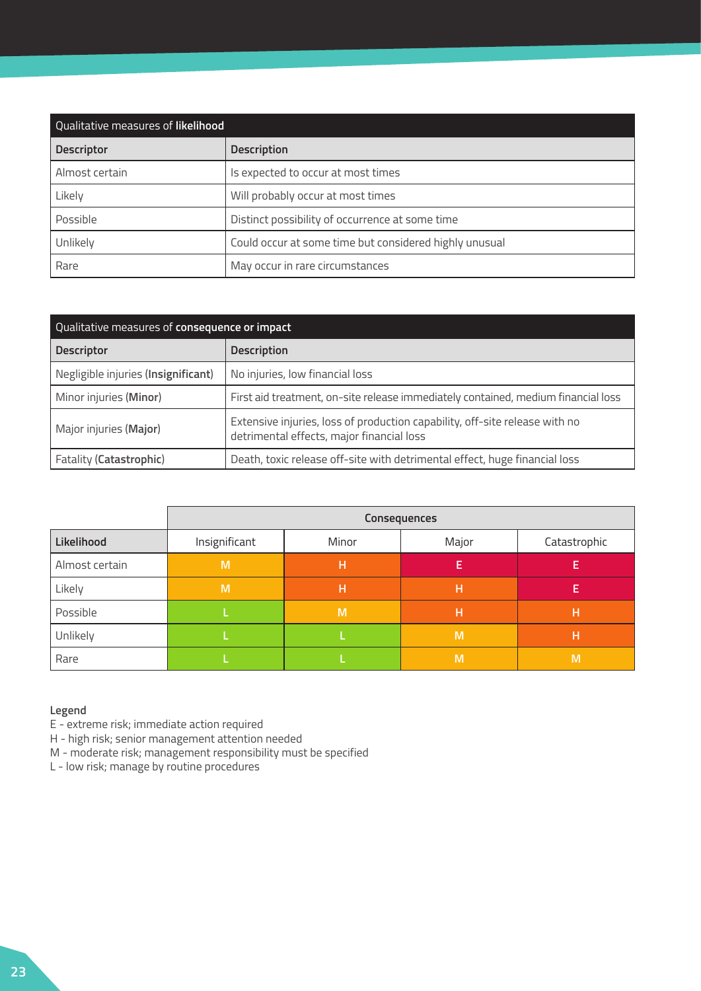| Qualitative measures of likelihood |                                                        |
|------------------------------------|--------------------------------------------------------|
| <b>Descriptor</b>                  | <b>Description</b>                                     |
| Almost certain                     | Is expected to occur at most times                     |
| Likely                             | Will probably occur at most times                      |
| Possible                           | Distinct possibility of occurrence at some time        |
| Unlikely                           | Could occur at some time but considered highly unusual |
| Rare                               | May occur in rare circumstances                        |

| Qualitative measures of consequence or impact |                                                                                                                          |
|-----------------------------------------------|--------------------------------------------------------------------------------------------------------------------------|
| <b>Descriptor</b>                             | <b>Description</b>                                                                                                       |
| Negligible injuries (Insignificant)           | No injuries, low financial loss                                                                                          |
| Minor injuries (Minor)                        | First aid treatment, on-site release immediately contained, medium financial loss                                        |
| Major injuries (Major)                        | Extensive injuries, loss of production capability, off-site release with no<br>detrimental effects, major financial loss |
| Fatality (Catastrophic)                       | Death, toxic release off-site with detrimental effect, huge financial loss                                               |

|                |               |       | Consequences |              |
|----------------|---------------|-------|--------------|--------------|
| Likelihood     | Insignificant | Minor | Major        | Catastrophic |
| Almost certain | M             | H     | E            |              |
| Likely         | M             | н     | н            |              |
| Possible       |               | M     | Н            |              |
| Unlikely       |               |       | M            | Н            |
| Rare           |               |       | M            | M            |

## **Legend**

E - extreme risk; immediate action required

H - high risk; senior management attention needed

M - moderate risk; management responsibility must be specified

L - low risk; manage by routine procedures